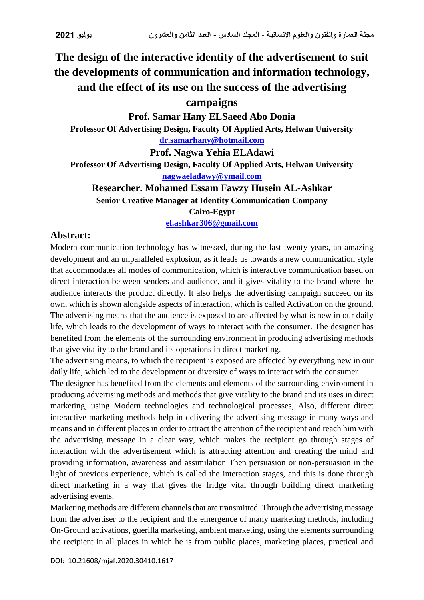## **The design of the interactive identity of the advertisement to suit the developments of communication and information technology, and the effect of its use on the success of the advertising**

## **campaigns**

**Prof. Samar Hany ELSaeed Abo Donia Professor Of Advertising Design, Faculty Of Applied Arts, Helwan University [dr.samarhany@hotmail.com](mailto:dr.samarhany@hotmail.com)**

**Prof. Nagwa Yehia ELAdawi**

**Professor Of Advertising Design, Faculty Of Applied Arts, Helwan University [nagwaeladawy@ymail.com](mailto:nagwaeladawy@ymail.com)**

**Researcher. Mohamed Essam Fawzy Husein AL-Ashkar**

**Senior Creative Manager at Identity Communication Company Cairo-Egypt**

**[el.ashkar306@gmail.com](mailto:el.ashkar306@gmail.com)**

## **Abstract:**

Modern communication technology has witnessed, during the last twenty years, an amazing development and an unparalleled explosion, as it leads us towards a new communication style that accommodates all modes of communication, which is interactive communication based on direct interaction between senders and audience, and it gives vitality to the brand where the audience interacts the product directly. It also helps the advertising campaign succeed on its own, which is shown alongside aspects of interaction, which is called Activation on the ground. The advertising means that the audience is exposed to are affected by what is new in our daily life, which leads to the development of ways to interact with the consumer. The designer has benefited from the elements of the surrounding environment in producing advertising methods that give vitality to the brand and its operations in direct marketing.

The advertising means, to which the recipient is exposed are affected by everything new in our daily life, which led to the development or diversity of ways to interact with the consumer.

The designer has benefited from the elements and elements of the surrounding environment in producing advertising methods and methods that give vitality to the brand and its uses in direct marketing, using Modern technologies and technological processes, Also, different direct interactive marketing methods help in delivering the advertising message in many ways and means and in different places in order to attract the attention of the recipient and reach him with the advertising message in a clear way, which makes the recipient go through stages of interaction with the advertisement which is attracting attention and creating the mind and providing information, awareness and assimilation Then persuasion or non-persuasion in the light of previous experience, which is called the interaction stages, and this is done through direct marketing in a way that gives the fridge vital through building direct marketing advertising events.

Marketing methods are different channels that are transmitted. Through the advertising message from the advertiser to the recipient and the emergence of many marketing methods, including On-Ground activations, guerilla marketing, ambient marketing, using the elements surrounding the recipient in all places in which he is from public places, marketing places, practical and